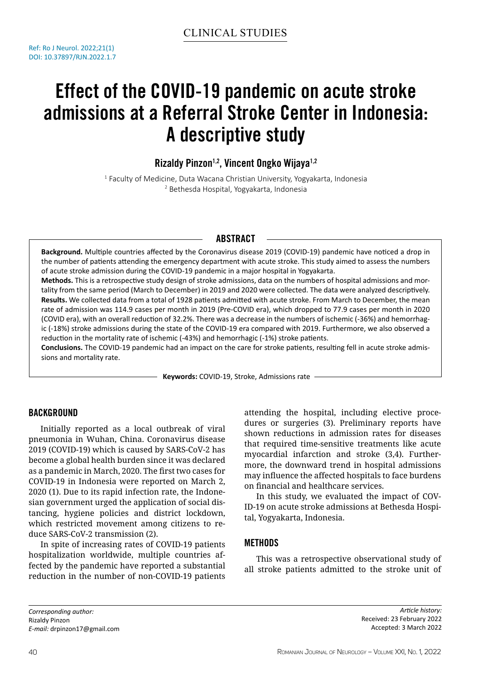# Effect of the COVID-19 pandemic on acute stroke admissions at a Referral Stroke Center in Indonesia: A descriptive study

Rizaldy Pinzon<sup>1,2</sup>, Vincent Ongko Wijaya<sup>1,2</sup>

1 Faculty of Medicine, Duta Wacana Christian University, Yogyakarta, Indonesia 2 Bethesda Hospital, Yogyakarta, Indonesia

## **ABSTRACT**

**Background.** Multiple countries affected by the Coronavirus disease 2019 (COVID-19) pandemic have noticed a drop in the number of patients attending the emergency department with acute stroke. This study aimed to assess the numbers of acute stroke admission during the COVID-19 pandemic in a major hospital in Yogyakarta.

**Methods.** This is a retrospective study design of stroke admissions, data on the numbers of hospital admissions and mortality from the same period (March to December) in 2019 and 2020 were collected. The data were analyzed descriptively. **Results.** We collected data from a total of 1928 patients admitted with acute stroke. From March to December, the mean rate of admission was 114.9 cases per month in 2019 (Pre-COVID era), which dropped to 77.9 cases per month in 2020 (COVID era), with an overall reduction of 32.2%. There was a decrease in the numbers of ischemic (-36%) and hemorrhagic (-18%) stroke admissions during the state of the COVID-19 era compared with 2019. Furthermore, we also observed a reduction in the mortality rate of ischemic (-43%) and hemorrhagic (-1%) stroke patients.

**Conclusions.** The COVID-19 pandemic had an impact on the care for stroke patients, resulting fell in acute stroke admissions and mortality rate.

**Keywords:** COVID-19, Stroke, Admissions rate

## **BACKGROUND**

Initially reported as a local outbreak of viral pneumonia in Wuhan, China. Coronavirus disease 2019 (COVID-19) which is caused by SARS-CoV-2 has become a global health burden since it was declared as a pandemic in March, 2020. The first two cases for COVID-19 in Indonesia were reported on March 2, 2020 (1). Due to its rapid infection rate, the Indonesian government urged the application of social distancing, hygiene policies and district lockdown, which restricted movement among citizens to reduce SARS-CoV-2 transmission (2).

In spite of increasing rates of COVID-19 patients hospitalization worldwide, multiple countries affected by the pandemic have reported a substantial reduction in the number of non-COVID-19 patients

attending the hospital, including elective procedures or surgeries (3). Preliminary reports have shown reductions in admission rates for diseases that required time-sensitive treatments like acute myocardial infarction and stroke (3,4). Furthermore, the downward trend in hospital admissions may influence the affected hospitals to face burdens on financial and healthcare services.

In this study, we evaluated the impact of COV-ID-19 on acute stroke admissions at Bethesda Hospital, Yogyakarta, Indonesia.

## **METHODS**

This was a retrospective observational study of all stroke patients admitted to the stroke unit of

*Corresponding author:* Rizaldy Pinzon *E-mail:* drpinzon17@gmail.com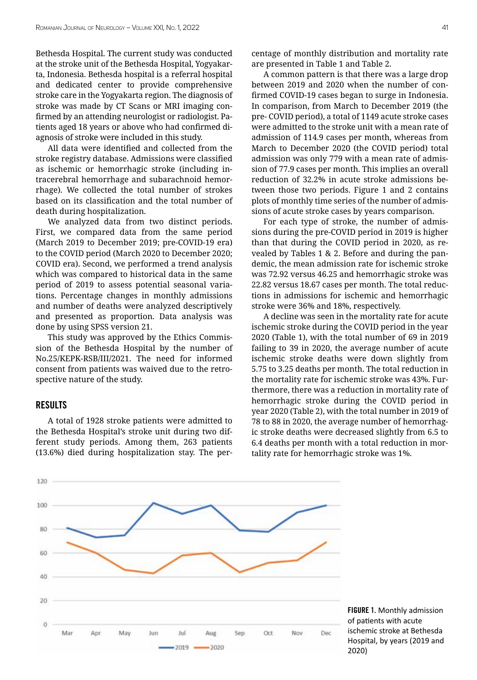Bethesda Hospital. The current study was conducted at the stroke unit of the Bethesda Hospital, Yogyakarta, Indonesia. Bethesda hospital is a referral hospital and dedicated center to provide comprehensive stroke care in the Yogyakarta region. The diagnosis of stroke was made by CT Scans or MRI imaging confirmed by an attending neurologist or radiologist. Patients aged 18 years or above who had confirmed diagnosis of stroke were included in this study.

All data were identified and collected from the stroke registry database. Admissions were classified as ischemic or hemorrhagic stroke (including intracerebral hemorrhage and subarachnoid hemorrhage). We collected the total number of strokes based on its classification and the total number of death during hospitalization.

We analyzed data from two distinct periods. First, we compared data from the same period (March 2019 to December 2019; pre-COVID-19 era) to the COVID period (March 2020 to December 2020; COVID era). Second, we performed a trend analysis which was compared to historical data in the same period of 2019 to assess potential seasonal variations. Percentage changes in monthly admissions and number of deaths were analyzed descriptively and presented as proportion. Data analysis was done by using SPSS version 21.

This study was approved by the Ethics Commission of the Bethesda Hospital by the number of No.25/KEPK-RSB/III/2021. The need for informed consent from patients was waived due to the retrospective nature of the study.

#### **RESULTS**

A total of 1928 stroke patients were admitted to the Bethesda Hospital's stroke unit during two different study periods. Among them, 263 patients (13.6%) died during hospitalization stay. The percentage of monthly distribution and mortality rate are presented in Table 1 and Table 2.

A common pattern is that there was a large drop between 2019 and 2020 when the number of confirmed COVID-19 cases began to surge in Indonesia. In comparison, from March to December 2019 (the pre- COVID period), a total of 1149 acute stroke cases were admitted to the stroke unit with a mean rate of admission of 114.9 cases per month, whereas from March to December 2020 (the COVID period) total admission was only 779 with a mean rate of admission of 77.9 cases per month. This implies an overall reduction of 32.2% in acute stroke admissions between those two periods. Figure 1 and 2 contains plots of monthly time series of the number of admissions of acute stroke cases by years comparison.

For each type of stroke, the number of admissions during the pre-COVID period in 2019 is higher than that during the COVID period in 2020, as revealed by Tables 1 & 2. Before and during the pandemic, the mean admission rate for ischemic stroke was 72.92 versus 46.25 and hemorrhagic stroke was 22.82 versus 18.67 cases per month. The total reductions in admissions for ischemic and hemorrhagic stroke were 36% and 18%, respectively.

A decline was seen in the mortality rate for acute ischemic stroke during the COVID period in the year 2020 (Table 1), with the total number of 69 in 2019 failing to 39 in 2020, the average number of acute ischemic stroke deaths were down slightly from 5.75 to 3.25 deaths per month. The total reduction in the mortality rate for ischemic stroke was 43%. Furthermore, there was a reduction in mortality rate of hemorrhagic stroke during the COVID period in year 2020 (Table 2), with the total number in 2019 of 78 to 88 in 2020, the average number of hemorrhagic stroke deaths were decreased slightly from 6.5 to 6.4 deaths per month with a total reduction in mortality rate for hemorrhagic stroke was 1%.

> FIGURE 1. Monthly admission of patients with acute ischemic stroke at Bethesda Hospital, by years (2019 and 2020)

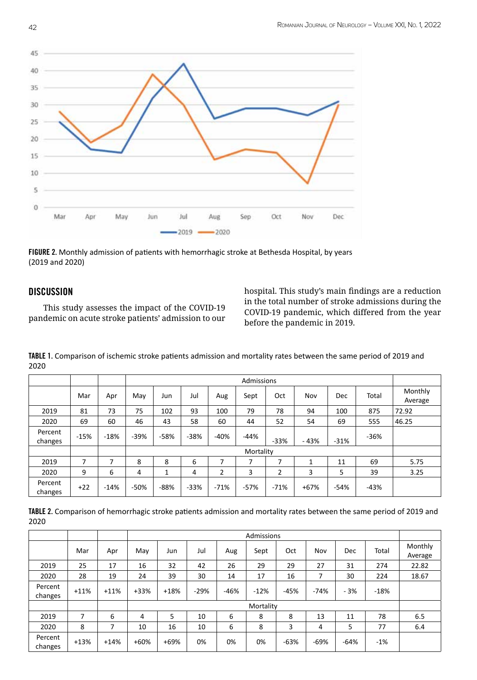

FIGURE 2. Monthly admission of patients with hemorrhagic stroke at Bethesda Hospital, by years (2019 and 2020)

## **DISCUSSION**

 This study assesses the impact of the COVID-19 pandemic on acute stroke patients' admission to our hospital. This study's main findings are a reduction in the total number of stroke admissions during the COVID-19 pandemic, which differed from the year before the pandemic in 2019.

Admissions Mar | Apr | May | Jun | Jul | Aug | Sept | Oct | Nov | Dec | Total | Monthly Average 2019 81 73 75 102 93 100 79 78 94 100 875 72.92 2020 69 60 46 43 58 60 44 52 54 69 555 46.25 Percent changes  $\begin{vmatrix} -15\% & -18\% & -39\% & -58\% & -38\% & -40\% & -44\% & -33\% & -43\% & -31\% & -36\% \end{vmatrix}$ Mortality 2019 | 7 | 7 | 8 | 8 | 6 | 7 | 7 | 7 | 1 | 11 | 69 | 5.75 2020 9 6 4 1 4 2 3 2 3 5 39 3.25 Percent changes +22 -14% -50% -88% -33% -71% -57% -71% +67% -54% -43%

TABLE 1. Comparison of ischemic stroke patients admission and mortality rates between the same period of 2019 and 2020

TABLE 2. Comparison of hemorrhagic stroke patients admission and mortality rates between the same period of 2019 and 2020

|                    |        |        | Admissions |        |        |        |        |        |        |        |        |                    |
|--------------------|--------|--------|------------|--------|--------|--------|--------|--------|--------|--------|--------|--------------------|
|                    | Mar    | Apr    | May        | Jun    | Jul    | Aug    | Sept   | Oct    | Nov    | Dec    | Total  | Monthly<br>Average |
| 2019               | 25     | 17     | 16         | 32     | 42     | 26     | 29     | 29     | 27     | 31     | 274    | 22.82              |
| 2020               | 28     | 19     | 24         | 39     | 30     | 14     | 17     | 16     | 7      | 30     | 224    | 18.67              |
| Percent<br>changes | $+11%$ | $+11%$ | $+33%$     | $+18%$ | $-29%$ | $-46%$ | $-12%$ | $-45%$ | $-74%$ | $-3%$  | $-18%$ |                    |
|                    |        |        | Mortality  |        |        |        |        |        |        |        |        |                    |
| 2019               | ⇁      | 6      | 4          | 5      | 10     | 6      | 8      | 8      | 13     | 11     | 78     | 6.5                |
| 2020               | 8      |        | 10         | 16     | 10     | 6      | 8      | 3      | 4      | 5      | 77     | 6.4                |
| Percent<br>changes | $+13%$ | $+14%$ | $+60%$     | $+69%$ | 0%     | 0%     | 0%     | $-63%$ | $-69%$ | $-64%$ | $-1%$  |                    |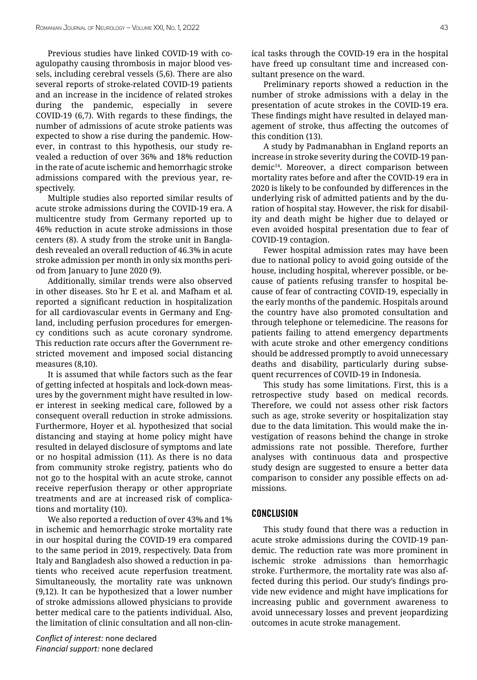Previous studies have linked COVID-19 with coagulopathy causing thrombosis in major blood vessels, including cerebral vessels (5,6). There are also several reports of stroke-related COVID-19 patients and an increase in the incidence of related strokes during the pandemic, especially in severe COVID-19 (6,7). With regards to these findings, the number of admissions of acute stroke patients was expected to show a rise during the pandemic. However, in contrast to this hypothesis, our study revealed a reduction of over 36% and 18% reduction in the rate of acute ischemic and hemorrhagic stroke admissions compared with the previous year, respectively.

Multiple studies also reported similar results of acute stroke admissions during the COVID-19 era. A multicentre study from Germany reported up to 46% reduction in acute stroke admissions in those centers (8). A study from the stroke unit in Bangladesh revealed an overall reduction of 46.3% in acute stroke admission per month in only six months period from January to June 2020 (9).

Additionally, similar trends were also observed in other diseases. Sto ̈hr E et al. and Mafham et al. reported a significant reduction in hospitalization for all cardiovascular events in Germany and England, including perfusion procedures for emergency conditions such as acute coronary syndrome. This reduction rate occurs after the Government restricted movement and imposed social distancing measures (8,10).

It is assumed that while factors such as the fear of getting infected at hospitals and lock-down measures by the government might have resulted in lower interest in seeking medical care, followed by a consequent overall reduction in stroke admissions. Furthermore, Hoyer et al. hypothesized that social distancing and staying at home policy might have resulted in delayed disclosure of symptoms and late or no hospital admission (11). As there is no data from community stroke registry, patients who do not go to the hospital with an acute stroke, cannot receive reperfusion therapy or other appropriate treatments and are at increased risk of complications and mortality (10).

We also reported a reduction of over 43% and 1% in ischemic and hemorrhagic stroke mortality rate in our hospital during the COVID-19 era compared to the same period in 2019, respectively. Data from Italy and Bangladesh also showed a reduction in patients who received acute reperfusion treatment. Simultaneously, the mortality rate was unknown (9,12). It can be hypothesized that a lower number of stroke admissions allowed physicians to provide better medical care to the patients individual. Also, the limitation of clinic consultation and all non-clin-

*Conflict of interest:* none declared *Financial support:* none declared

ical tasks through the COVID-19 era in the hospital have freed up consultant time and increased consultant presence on the ward.

Preliminary reports showed a reduction in the number of stroke admissions with a delay in the presentation of acute strokes in the COVID-19 era. These findings might have resulted in delayed management of stroke, thus affecting the outcomes of this condition (13).

A study by Padmanabhan in England reports an increase in stroke severity during the COVID-19 pandemic<sup>14</sup>. Moreover, a direct comparison between mortality rates before and after the COVID-19 era in 2020 is likely to be confounded by differences in the underlying risk of admitted patients and by the duration of hospital stay. However, the risk for disability and death might be higher due to delayed or even avoided hospital presentation due to fear of COVID-19 contagion.

Fewer hospital admission rates may have been due to national policy to avoid going outside of the house, including hospital, wherever possible, or because of patients refusing transfer to hospital because of fear of contracting COVID-19, especially in the early months of the pandemic. Hospitals around the country have also promoted consultation and through telephone or telemedicine. The reasons for patients failing to attend emergency departments with acute stroke and other emergency conditions should be addressed promptly to avoid unnecessary deaths and disability, particularly during subsequent recurrences of COVID-19 in Indonesia.

This study has some limitations. First, this is a retrospective study based on medical records. Therefore, we could not assess other risk factors such as age, stroke severity or hospitalization stay due to the data limitation. This would make the investigation of reasons behind the change in stroke admissions rate not possible. Therefore, further analyses with continuous data and prospective study design are suggested to ensure a better data comparison to consider any possible effects on admissions.

### **CONCLUSION**

This study found that there was a reduction in acute stroke admissions during the COVID-19 pandemic. The reduction rate was more prominent in ischemic stroke admissions than hemorrhagic stroke. Furthermore, the mortality rate was also affected during this period. Our study's findings provide new evidence and might have implications for increasing public and government awareness to avoid unnecessary losses and prevent jeopardizing outcomes in acute stroke management.